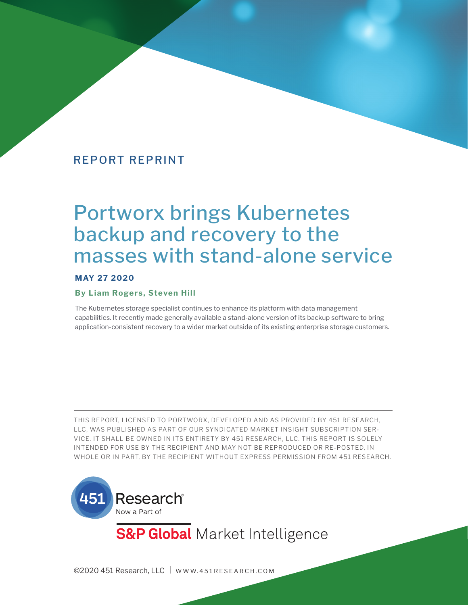# Portworx brings Kubernetes backup and recovery to the masses with stand-alone service

## **MAY 27 2020**

#### **By Liam Rogers, Steven Hill**

The Kubernetes storage specialist continues to enhance its platform with data management capabilities. It recently made generally available a stand-alone version of its backup software to bring application-consistent recovery to a wider market outside of its existing enterprise storage customers.

THIS REPORT, LICENSED TO PORTWORX, DEVELOPED AND AS PROVIDED BY 451 RESEARCH, LLC, WAS PUBLISHED AS PART OF OUR SYNDICATED MARKET INSIGHT SUBSCRIPTION SER-VICE. IT SHALL BE OWNED IN ITS ENTIRETY BY 451 RESEARCH, LLC. THIS REPORT IS SOLELY INTENDED FOR USE BY THE RECIPIENT AND MAY NOT BE REPRODUCED OR RE-POSTED, IN WHOLE OR IN PART, BY THE RECIPIENT WITHOUT EXPRESS PERMISSION FROM 451 RESEARCH.



**S&P Global** Market Intelligence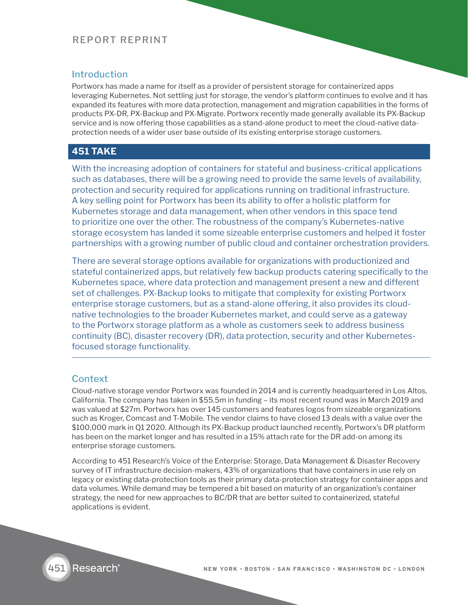## Introduction

Portworx has made a name for itself as a provider of persistent storage for containerized apps leveraging Kubernetes. Not settling just for storage, the vendor's platform continues to evolve and it has expanded its features with more data protection, management and migration capabilities in the forms of products PX-DR, PX-Backup and PX-Migrate. Portworx recently made generally available its PX-Backup service and is now offering those capabilities as a stand-alone product to meet the cloud-native dataprotection needs of a wider user base outside of its existing enterprise storage customers.

## **451 TAKE**

With the increasing adoption of containers for stateful and business-critical applications such as databases, there will be a growing need to provide the same levels of availability, protection and security required for applications running on traditional infrastructure. A key selling point for Portworx has been its ability to offer a holistic platform for Kubernetes storage and data management, when other vendors in this space tend to prioritize one over the other. The robustness of the company's Kubernetes-native storage ecosystem has landed it some sizeable enterprise customers and helped it foster partnerships with a growing number of public cloud and container orchestration providers.

There are several storage options available for organizations with productionized and stateful containerized apps, but relatively few backup products catering specifically to the Kubernetes space, where data protection and management present a new and different set of challenges. PX-Backup looks to mitigate that complexity for existing Portworx enterprise storage customers, but as a stand-alone offering, it also provides its cloudnative technologies to the broader Kubernetes market, and could serve as a gateway to the Portworx storage platform as a whole as customers seek to address business continuity (BC), disaster recovery (DR), data protection, security and other Kubernetesfocused storage functionality.

## **Context**

Cloud-native storage vendor Portworx was founded in 2014 and is currently headquartered in Los Altos, California. The company has taken in \$55.5m in funding – its most recent round was in March 2019 and was valued at \$27m. Portworx has over 145 customers and features logos from sizeable organizations such as Kroger, Comcast and T-Mobile. The vendor claims to have closed 13 deals with a value over the \$100,000 mark in Q1 2020. Although its PX-Backup product launched recently, Portworx's DR platform has been on the market longer and has resulted in a 15% attach rate for the DR add-on among its enterprise storage customers.

According to 451 Research's Voice of the Enterprise: Storage, Data Management & Disaster Recovery survey of IT infrastructure decision-makers, 43% of organizations that have containers in use rely on legacy or existing data-protection tools as their primary data-protection strategy for container apps and data volumes. While demand may be tempered a bit based on maturity of an organization's container strategy, the need for new approaches to BC/DR that are better suited to containerized, stateful applications is evident.

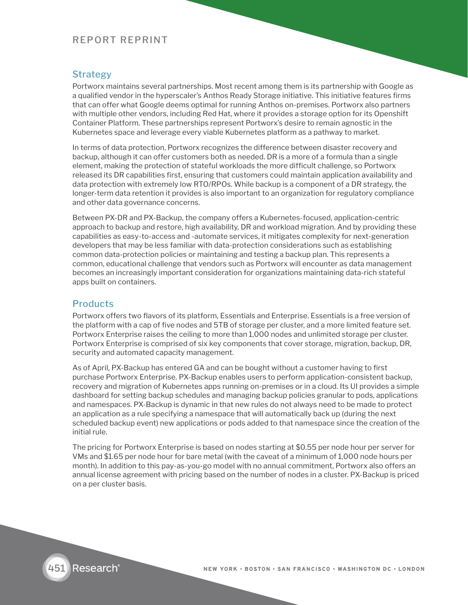## **Strategy**

Portworx maintains several partnerships. Most recent among them is its partnership with Google as a qualified vendor in the hyperscaler's Anthos Ready Storage initiative. This initiative features firms that can offer what Google deems optimal for running Anthos on-premises. Portworx also partners with multiple other vendors, including Red Hat, where it provides a storage option for its Openshift Container Platform. These partnerships represent Portworx's desire to remain agnostic in the Kubernetes space and leverage every viable Kubernetes platform as a pathway to market.

In terms of data protection, Portworx recognizes the difference between disaster recovery and backup, although it can offer customers both as needed. DR is a more of a formula than a single element, making the protection of stateful workloads the more difficult challenge, so Portworx released its DR capabilities first, ensuring that customers could maintain application availability and data protection with extremely low RTO/RPOs. While backup is a component of a DR strategy, the longer-term data retention it provides is also important to an organization for regulatory compliance and other data governance concerns.

Between PX-DR and PX-Backup, the company offers a Kubernetes-focused, application-centric approach to backup and restore, high availability, DR and workload migration. And by providing these capabilities as easy-to-access and -automate services, it mitigates complexity for next-generation developers that may be less familiar with data-protection considerations such as establishing common data-protection policies or maintaining and testing a backup plan. This represents a common, educational challenge that vendors such as Portworx will encounter as data management becomes an increasingly important consideration for organizations maintaining data-rich stateful apps built on containers.

#### **Products**

Portworx offers two flavors of its platform, Essentials and Enterprise. Essentials is a free version of the platform with a cap of five nodes and 5TB of storage per cluster, and a more limited feature set. Portworx Enterprise raises the ceiling to more than 1,000 nodes and unlimited storage per cluster. Portworx Enterprise is comprised of six key components that cover storage, migration, backup, DR, security and automated capacity management.

As of April, PX-Backup has entered GA and can be bought without a customer having to first purchase Portworx Enterprise. PX-Backup enables users to perform application-consistent backup, recovery and migration of Kubernetes apps running on-premises or in a cloud. Its UI provides a simple dashboard for setting backup schedules and managing backup policies granular to pods, applications and namespaces. PX-Backup is dynamic in that new rules do not always need to be made to protect an application as a rule specifying a namespace that will automatically back up (during the next scheduled backup event) new applications or pods added to that namespace since the creation of the initial rule.

The pricing for Portworx Enterprise is based on nodes starting at \$0.55 per node hour per server for VMs and \$1.65 per node hour for bare metal (with the caveat of a minimum of 1,000 node hours per month). In addition to this pay-as-you-go model with no annual commitment, Portworx also offers an annual license agreement with pricing based on the number of nodes in a cluster. PX-Backup is priced on a per cluster basis.